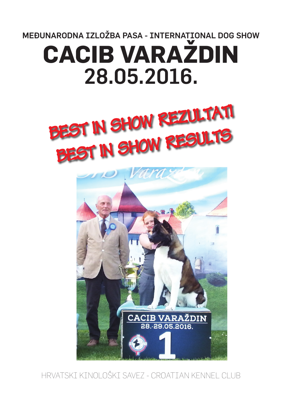MEĐUNARODNA IZLOŽBA PASA - INTERNATIONAL DOG SHOW **CACIB VARAŽDIN**  28.05.2016.





HRVATSKI KINOLOŠKI SAVEZ - CROATIAN KENNEL CLUB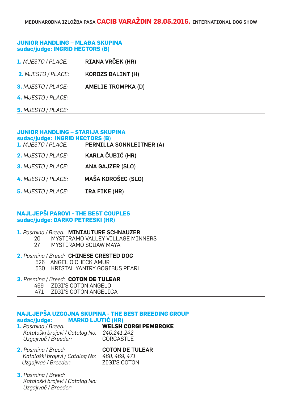# **JUNIOR HANDLING – MLAĐA SKUPINA sudac/judge: INGRID HECTORS (B)**

| RIANA VRČEK (HR)          | 1. MJESTO / PLACE:        |
|---------------------------|---------------------------|
| <b>KOROZS BALINT (H)</b>  | <b>2.</b> MJESTO / PLACE: |
| <b>AMELIE TROMPKA (D)</b> | <b>3. MJESTO / PLACE:</b> |
|                           | 4. MJESTO / PLACE:        |
|                           |                           |

# **5.** *MJESTO / PLACE:*

# **JUNIOR HANDLING – STARIJA SKUPINA**

| sudac/judge: INGRID HECTORS (B)<br>1. MJESTO / PLACE: | PERNILLA SONNLEITNER (A)  |
|-------------------------------------------------------|---------------------------|
| 2. MJESTO / PLACE:                                    | <b>KARLA ČUBIĆ (HR)</b>   |
| <b>3. MJESTO / PLACE:</b>                             | <b>ANA GAJZER (SLO)</b>   |
| 4. MJESTO / PLACE:                                    | <b>MAŠA KOROŠEC (SLO)</b> |
| <b>5. MJESTO / PLACE:</b>                             | IRA FIKE (HR)             |

# **NAJLJEPŠI PAROVI - THE BEST COUPLES sudac/judge: DARKO PETRESKI (HR)**

# **1.** *Pasmina / Breed:* MINIAUTURE SCHNAUZER

- 20 MYSTIRAMO VALLEY VILLAGE MINNERS
- 27 MYSTIRAMO SQUAW MAYA

# **2.** *Pasmina / Breed:* CHINESE CRESTED DOG

- 526 ANGEL O'CHECK AMUR
	- 530 KRISTAL YANIRY GOGIBUS PEARL

# **3.** *Pasmina / Breed:* **COTON DE TULEAR**

469 ZIGI'S COTON ANGELO

471 ZIGI'S COTON ANGELICA

# **NAJLJEPŠA UZGOJNA SKUPINA - THE BEST BREEDING GROUP sudac/judge: MARKO LJUTIĆ (HR)**

**1.** *Pasmina / Breed:* **WELSH CORGI PEMBROKE**  *Kataloški brojevi / Catalog No: 240,241,242 Uzgajivač / Breeder:* CORCASTLE

**2.** *Pasmina / Breed:* **COTON DE TULEAR**  *Kataloški brojevi / Catalog No: 468, 469, 471* Uzgajivač / Breeder: ZIGI'S COTON

**3.** *Pasmina / Breed: Kataloški brojevi / Catalog No: Uzgajivač / Breeder:*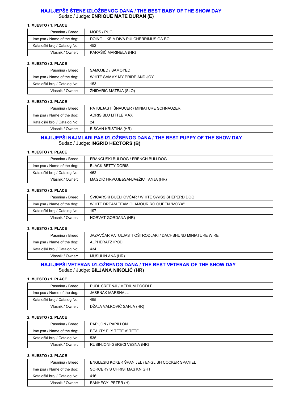# **NAJLJEPŠE ŠTENE IZLOŽBENOG DANA / THE BEST BABY OF THE SHOW DAY** Sudac / Judge: **ENRIQUE MATE DURAN (E)**

#### **1. MJESTO / 1. PLACE**

| Pasmina / Breed:             | MOPS / PUG                           |
|------------------------------|--------------------------------------|
| Ime psa / Name of the dog:   | DOING LIKE A DIVA PULCHERRIMUS GA-BO |
| Kataloški broj / Catalog No: | 452                                  |
| Vlasnik / Owner:             | KARAŠIĆ MARINELA (HR)                |

#### **2. MJESTO / 2. PLACE**

| Pasmina / Breed:             | SAMOJED / SAMOYED            |
|------------------------------|------------------------------|
| Ime psa / Name of the dog:   | WHITE SAMMY MY PRIDE AND JOY |
| Kataloški broj / Catalog No: | 153                          |
| Vlasnik / Owner:             | ŽNIDARIČ MATEJA (SLO)        |

## **3. MJESTO / 3. PLACE**

| Pasmina / Breed:             | PATULJASTI ŠNAUCER / MINIATURE SCHNAUZER |
|------------------------------|------------------------------------------|
| Ime psa / Name of the dog:   | ADRIS BLU LITTLE MAX                     |
| Kataloški broj / Catalog No: | 24                                       |
| Vlasnik / Owner:             | BIŠĆAN KRISTINA (HR)                     |

# **NAJLJEPŠI NAJMLAĐI PAS IZLOŽBENOG DANA / THE BEST PUPPY OF THE SHOW DAY** Sudac / Judge: **INGRID HECTORS (B)**

#### **1. MJESTO / 1. PLACE**

| Pasmina / Breed:             | FRANCUSKI BULDOG / FRENCH BULLDOG  |
|------------------------------|------------------------------------|
| Ime psa / Name of the dog:   | <b>BLACK BETTY DORIS</b>           |
| Kataloški broj / Catalog No: | 462                                |
| Vlasnik / Owner:             | MAGDIĆ HRVOJE&SANJA&ŽIC TANJA (HR) |

#### **2. MJESTO / 2. PLACE**

| Pasmina / Breed:             | ŠVICARSKI BIJELI OVČAR / WHITE SWISS SHEPERD DOG |
|------------------------------|--------------------------------------------------|
| Ime psa / Name of the dog:   | WHITE DREAM TEAM GLAMOUR RO QUEEN "MOYA"         |
| Kataloški broj / Catalog No: | 197                                              |
| Vlasnik / Owner:             | HORVAT GORDANA (HR)                              |

#### **3. MJESTO / 3. PLACE**

| Pasmina / Breed:             | JAZAVČAR PATULJASTI OŠTRODLAKI / DACHSHUND MINIATURE WIRE |
|------------------------------|-----------------------------------------------------------|
| Ime psa / Name of the dog:   | ALPHERATZ IPOD                                            |
| Kataloški broj / Catalog No: | 434                                                       |
| Vlasnik / Owner:             | MUSULIN ANA (HR)                                          |

## **NAJLJEPŠI VETERAN IZLOŽBENOG DANA / THE BEST VETERAN OF THE SHOW DAY** Sudac / Judge: **BILJANA NIKOLIĆ (HR)**

#### **1. MJESTO / 1. PLACE**

| Pasmina / Breed:             | PUDL SREDNJI / MEDIUM POODLE |
|------------------------------|------------------------------|
| Ime psa / Name of the dog:   | <b>JASENAK MARSHALL</b>      |
| Kataloški broj / Catalog No: | 495                          |
| Vlasnik / Owner:             | DŽAJA VALKOVIĆ SANJA (HR)    |

**2. MJESTO / 2. PLACE**

| Pasmina / Breed:             | PAPIJON / PAPILLON          |
|------------------------------|-----------------------------|
| Ime psa / Name of the dog:   | BEAUTY FLY TETE A' TETE     |
| Kataloški broj / Catalog No: | 535                         |
| Vlasnik / Owner:             | RUBINJONI-GERECI VESNA (HR) |

| Pasmina / Breed:             | ENGLESKI KOKER ŠPANIJEL / ENGLISH COCKER SPANIEL |
|------------------------------|--------------------------------------------------|
| Ime psa / Name of the dog:   | SORCERY'S CHRISTMAS KNIGHT                       |
| Kataloški broj / Catalog No: | 416                                              |
| Vlasnik / Owner:             | BANHEGYI PETER (H)                               |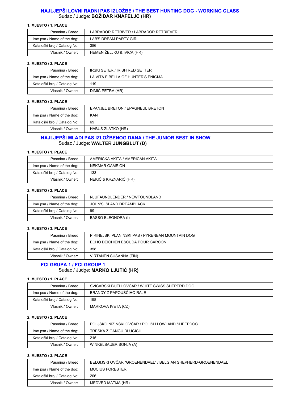# **NAJLJEPŠI LOVNI RADNI PAS IZLOŽBE / THE BEST HUNTING DOG - WORKING CLASS** Sudac / Judge: **BOŽIDAR KNAFELJC (HR)**

#### **1. MJESTO / 1. PLACE**

| Pasmina / Breed:             | LABRADOR RETRIVER / LABRADOR RETRIEVER |
|------------------------------|----------------------------------------|
| Ime psa / Name of the dog:   | LAB'S DREAM PARTY GIRL                 |
| Kataloški broj / Catalog No: | 386                                    |
| Vlasnik / Owner:             | HEMEN ŽELJKO & IVICA (HR)              |

#### **2. MJESTO / 2. PLACE**

| Pasmina / Breed:             | IRSKI SETER / IRISH RED SETTER     |
|------------------------------|------------------------------------|
| Ime psa / Name of the dog:   | LA VITA E BELLA OF HUNTER'S ENIGMA |
| Kataloški broj / Catalog No: | 119                                |
| Vlasnik / Owner:             | DIMIĆ PETRA (HR)                   |

## **3. MJESTO / 3. PLACE**

| Pasmina / Breed:             | EPANJEL BRETON / EPAGNEUL BRETON |
|------------------------------|----------------------------------|
| Ime psa / Name of the dog:   | <b>KAN</b>                       |
| Kataloški broj / Catalog No: | 69                               |
| Vlasnik / Owner:             | HABUŠ ZLATKO (HR)                |

# **NAJLJEPŠI MLADI PAS IZLOŽBENOG DANA / THE JUNIOR BEST IN SHOW** Sudac / Judge: **WALTER JUNGBLUT (D)**

## **1. MJESTO / 1. PLACE**

| Pasmina / Breed:             | AMERIČKA AKITA / AMERICAN AKITA |
|------------------------------|---------------------------------|
| Ime psa / Name of the dog:   | NEKMAR GAME ON                  |
| Kataloški broj / Catalog No: | 133                             |
| Vlasnik / Owner:             | NEKIĆ & KRZNARIĆ (HR)           |

#### **2. MJESTO / 2. PLACE**

| Pasmina / Breed:             | NJUFAUNDLENDER / NEWFOUNDLAND |
|------------------------------|-------------------------------|
| Ime psa / Name of the dog:   | JOHN'S ISLAND DREAMBLACK      |
| Kataloški broj / Catalog No: | 99                            |
| Vlasnik / Owner:             | BASSO ELEONORA (I)            |

#### **3. MJESTO / 3. PLACE**

| Pasmina / Breed:             | PIRINEJSKI PLANINSKI PAS / PYRENEAN MOUNTAIN DOG |
|------------------------------|--------------------------------------------------|
| Ime psa / Name of the dog:   | ECHO DEICHIEN ESCUDA POUR GARCON                 |
| Kataloški broj / Catalog No: | 358                                              |
| Vlasnik / Owner:             | VIRTANEN SUSANNA (FIN)                           |

## **FCI GRUPA 1 / FCI GROUP 1** Sudac / Judge: **MARKO LJUTIĆ (HR)**

#### **1. MJESTO / 1. PLACE**

| Pasmina / Breed:             | ŠVICARSKI BIJELI OVČAR / WHITE SWISS SHEPERD DOG |
|------------------------------|--------------------------------------------------|
| Ime psa / Name of the dog:   | BRANDY Z PAPOUŠČIHO RAJE                         |
| Kataloški broj / Catalog No: | 198                                              |
| Vlasnik / Owner:             | MARKOVA IVETA (CZ)                               |

#### **2. MJESTO / 2. PLACE**

| Pasmina / Breed:             | POLJSKO NIZINSKI OVČAR / POLISH LOWLAND SHEEPDOG |
|------------------------------|--------------------------------------------------|
| Ime psa / Name of the dog:   | TRESKA Z GANGU DLUGICH                           |
| Kataloški broj / Catalog No: | 215                                              |
| Vlasnik / Owner:             | WINKELBAUER SONJA (A)                            |

| Pasmina / Breed:             | BELGIJSKI OVČAR "GROENENDAEL" / BELGIAN SHEPHERD-GROENENDAEL |
|------------------------------|--------------------------------------------------------------|
| Ime psa / Name of the dog:   | <b>MUCIUS FORESTER</b>                                       |
| Kataloški broj / Catalog No: | 206                                                          |
| Vlasnik / Owner:             | MEDVED MATIJA (HR)                                           |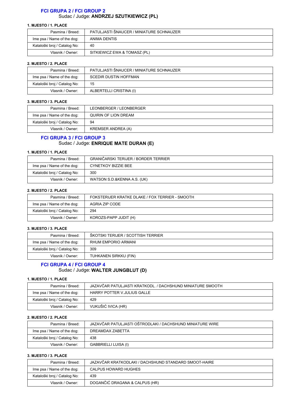# **FCI GRUPA 2 / FCI GROUP 2** Sudac / Judge: **ANDRZEJ SZUTKIEWICZ (PL)**

#### **1. MJESTO / 1. PLACE**

| Pasmina / Breed:             | PATULJASTI ŠNAUCER / MINIATURE SCHNAUZER |
|------------------------------|------------------------------------------|
| Ime psa / Name of the dog:   | ANIMA DENTIS                             |
| Kataloški broj / Catalog No: | 40                                       |
| Vlasnik / Owner:             | SITKIEWICZ EWA & TOMASZ (PL)             |

#### **2. MJESTO / 2. PLACE**

| Pasmina / Breed:             | PATULJASTI ŠNAUCER / MINIATURE SCHNAUZER |
|------------------------------|------------------------------------------|
| Ime psa / Name of the dog:   | <b>SCEDIR DUSTIN HOFFMAN</b>             |
| Kataloški broj / Catalog No: | 15                                       |
| Vlasnik / Owner:             | ALBERTELLI CRISTINA (I)                  |

## **3. MJESTO / 3. PLACE**

| Pasmina / Breed:             | LEONBERGER / LEONBERGER   |
|------------------------------|---------------------------|
| Ime psa / Name of the dog:   | QUIRIN OF LION DREAM      |
| Kataloški broj / Catalog No: | 94                        |
| Vlasnik / Owner:             | <b>KREMSER ANDREA (A)</b> |

## **FCI GRUPA 3 / FCI GROUP 3** Sudac / Judge: **ENRIQUE MATE DURAN (E)**

#### **1. MJESTO / 1. PLACE**

| Pasmina / Breed:             | GRANIČARSKI TERIJER / BORDER TERRIER |
|------------------------------|--------------------------------------|
| Ime psa / Name of the dog:   | <b>CYNETKOY BIZZIE BEE</b>           |
| Kataloški broj / Catalog No: | 300                                  |
| Vlasnik / Owner:             | WATSON S.D.&KENNA A.S. (UK)          |

#### **2. MJESTO / 2. PLACE**

| Pasmina / Breed:             | FOKSTERIJER KRATKE DLAKE / FOX TERRIER - SMOOTH |
|------------------------------|-------------------------------------------------|
| Ime psa / Name of the dog:   | AGRIA ZIP CODE                                  |
| Kataloški broj / Catalog No: | 294                                             |
| Vlasnik / Owner:             | KOROZS-PAPP JUDIT (H)                           |

#### **3. MJESTO / 3. PLACE**

| Pasmina / Breed:             | SKOTSKI TERIJER / SCOTTISH TERRIER |
|------------------------------|------------------------------------|
| Ime psa / Name of the dog:   | RHUM EMPORIO ARMANI                |
| Kataloški broj / Catalog No: | 309                                |
| Vlasnik / Owner:             | TUHKANEN SIRKKU (FIN)              |

## **FCI GRUPA 4 / FCI GROUP 4** Sudac / Judge: **WALTER JUNGBLUT (D)**

#### **1. MJESTO / 1. PLACE**

| Pasmina / Breed:             | JAZAVČAR PATULJASTI KRATKODL. / DACHSHUND MINIATURE SMOOTH |
|------------------------------|------------------------------------------------------------|
| Ime psa / Name of the dog:   | HARRY POTTER V.JULIUS GALLE                                |
| Kataloški broj / Catalog No: | 429                                                        |
| Vlasnik / Owner:             | VUKUŠIĆ IVICA (HR)                                         |

## **2. MJESTO / 2. PLACE**

| Pasmina / Breed:             | JAZAVČAR PATULJASTI OŠTRODLAKI / DACHSHUND MINIATURE WIRE |
|------------------------------|-----------------------------------------------------------|
| Ime psa / Name of the dog:   | DREAMDAX ZABETTA                                          |
| Kataloški broj / Catalog No: | 438                                                       |
| Vlasnik / Owner:             | GABBRIELLI LUISA (I)                                      |

| Pasmina / Breed:             | JAZAVČAR KRATKODLAKI / DACHSHUND STANDARD SMOOT-HAIRE |
|------------------------------|-------------------------------------------------------|
| Ime psa / Name of the dog:   | CALPUS HOWARD HUGHES                                  |
| Kataloški broj / Catalog No: | 439                                                   |
| Vlasnik / Owner:             | DOGANČIĆ DRAGANA & CALPUS (HR)                        |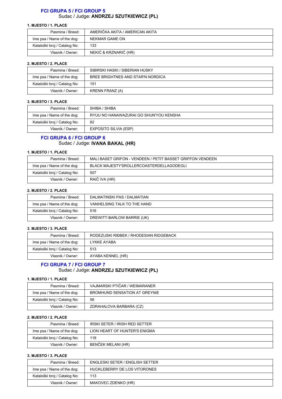# **FCI GRUPA 5 / FCI GROUP 5** Sudac / Judge: **ANDRZEJ SZUTKIEWICZ (PL)**

#### **1. MJESTO / 1. PLACE**

| Pasmina / Breed:             | AMERIČKA AKITA / AMERICAN AKITA |
|------------------------------|---------------------------------|
| Ime psa / Name of the dog:   | NEKMAR GAME ON                  |
| Kataloški broj / Catalog No: | 133                             |
| Vlasnik / Owner:             | NEKIĆ & KRZNARIĆ (HR)           |

#### **2. MJESTO / 2. PLACE**

| Pasmina / Breed:             | SIBIRSKI HASKI / SIBERIAN HUSKY   |
|------------------------------|-----------------------------------|
| Ime psa / Name of the dog:   | BREE BRIGHTNES AND STAR'N NORDICA |
| Kataloški broj / Catalog No: | 151                               |
| Vlasnik / Owner:             | KRENN FRANZ (A)                   |

## **3. MJESTO / 3. PLACE**

| Pasmina / Breed:             | SHIBA / SHIBA                          |
|------------------------------|----------------------------------------|
| Ime psa / Name of the dog:   | RYUU NO HANAWAZURAI GO SHUN'YOU KENSHA |
| Kataloški broj / Catalog No: | 82                                     |
| Vlasnik / Owner:             | EXPOSITO SILVIA (ESP)                  |

## **FCI GRUPA 6 / FCI GROUP 6** Sudac / Judge: **IVANA BAKAL (HR)**

#### **1. MJESTO / 1. PLACE**

| Pasmina / Breed:             | MALI BASET GRIFON - VENDEEN / PETIT BASSET GRIFFON VENDEEN |
|------------------------------|------------------------------------------------------------|
| Ime psa / Name of the dog:   | BLACK MAJESTY'SROLLERCOASTERDELLAGODEGLI                   |
| Kataloški broj / Catalog No: | 507                                                        |
| Vlasnik / Owner:             | RAIČ IVA (HR)                                              |

#### **2. MJESTO / 2. PLACE**

| Pasmina / Breed:             | DALMATINSKI PAS / DALMATIAN |
|------------------------------|-----------------------------|
| Ime psa / Name of the dog:   | VANHELSING TALK TO THE HAND |
| Kataloški broj / Catalog No: | 516                         |
| Vlasnik / Owner:             | DREWITT-BARLOW BARRIE (UK)  |

#### **3. MJESTO / 3. PLACE**

| Pasmina / Breed:             | RODEZIJSKI RIĐBEK / RHODESIAN RIDGEBACK |
|------------------------------|-----------------------------------------|
| Ime psa / Name of the dog:   | LYKKE AYABA                             |
| Kataloški broj / Catalog No: | 513                                     |
| Vlasnik / Owner:             | AYABA KENNEL (HR)                       |

# **FCI GRUPA 7 / FCI GROUP 7** Sudac / Judge: **ANDRZEJ SZUTKIEWICZ (PL)**

#### **1. MJESTO / 1. PLACE**

| Pasmina / Breed:             | VAJMARSKI PTIČAR / WEIMARANER |
|------------------------------|-------------------------------|
| Ime psa / Name of the dog:   | BROMHUND SENSATION AT GREYNIE |
| Kataloški broj / Catalog No: | 56                            |
| Vlasnik / Owner:             | ZDRAHALOVA BARBARA (CZ)       |

#### **2. MJESTO / 2. PLACE**

| Pasmina / Breed:             | IRSKI SETER / IRISH RED SETTER |
|------------------------------|--------------------------------|
| Ime psa / Name of the dog:   | LION HEART OF HUNTER'S ENIGMA  |
| Kataloški broj / Catalog No: | 118                            |
| Vlasnik / Owner:             | BENČEK MELANI (HR)             |

| Pasmina / Breed:             | ENGLESKI SETER / ENGLISH SETTER |
|------------------------------|---------------------------------|
| Ime psa / Name of the dog:   | HUCKLEBERRY DE LOS VITORONES    |
| Kataloški broj / Catalog No: | 113                             |
| Vlasnik / Owner:             | MAKOVEC ZDENKO (HR)             |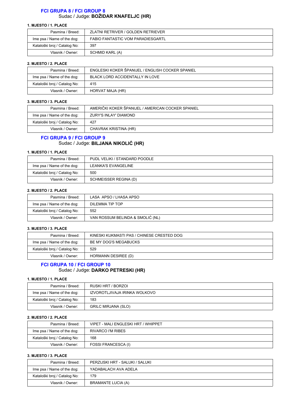# **FCI GRUPA 8 / FCI GROUP 8**

Sudac / Judge: **BOŽIDAR KNAFELJC (HR)**

#### **1. MJESTO / 1. PLACE**

| Pasmina / Breed:             | ZLATNI RETRIVER / GOLDEN RETRIEVER |
|------------------------------|------------------------------------|
| Ime psa / Name of the dog:   | FABIO FANTASTIC VOM PARADIESGARTL  |
| Kataloški broj / Catalog No: | 397                                |
| Vlasnik / Owner:             | SCHMID KARL (A)                    |

#### **2. MJESTO / 2. PLACE**

| Pasmina / Breed:             | ENGLESKI KOKER ŠPANIJEL / ENGLISH COCKER SPANIEL |
|------------------------------|--------------------------------------------------|
| Ime psa / Name of the dog:   | BLACK LORD ACCIDENTALLY IN LOVE                  |
| Kataloški broj / Catalog No: | 415                                              |
| Vlasnik / Owner:             | HORVAT MAJA (HR)                                 |

## **3. MJESTO / 3. PLACE**

| Pasmina / Breed:             | AMERIČKI KOKER ŠPANIJEL / AMERICAN COCKER SPANIEL |
|------------------------------|---------------------------------------------------|
| Ime psa / Name of the dog:   | ZURY'S INLAY' DIAMOND                             |
| Kataloški broj / Catalog No: | 427                                               |
| Vlasnik / Owner:             | CHAVRAK KRISTINA (HR)                             |

## **FCI GRUPA 9 / FCI GROUP 9** Sudac / Judge: **BILJANA NIKOLIĆ (HR)**

#### **1. MJESTO / 1. PLACE**

| Pasmina / Breed:             | PUDL VELIKI / STANDARD POODLE |
|------------------------------|-------------------------------|
| Ime psa / Name of the dog:   | LEANKA'S EVANGELINE           |
| Kataloški broj / Catalog No: | 500                           |
| Vlasnik / Owner:             | SCHMEISSER REGINA (D)         |

#### **2. MJESTO / 2. PLACE**

| Pasmina / Breed:             | LASA APSO / LHASA APSO           |
|------------------------------|----------------------------------|
| Ime psa / Name of the dog:   | DILEMMA TIP TOP                  |
| Kataloški broj / Catalog No: | 552                              |
| Vlasnik / Owner:             | VAN ROSSUM BELINDA & SMOLIĆ (NL) |

#### **3. MJESTO / 3. PLACE**

| Pasmina / Breed:             | KINESKI KUKMASTI PAS / CHINESE CRESTED DOG |
|------------------------------|--------------------------------------------|
| Ime psa / Name of the dog:   | BE MY DOG'S MEGABUCKS                      |
| Kataloški broj / Catalog No: | 529                                        |
| Vlasnik / Owner:             | HORMANN DESIREE (D)                        |

## **FCI GRUPA 10 / FCI GROUP 10** Sudac / Judge: **DARKO PETRESKI (HR)**

#### **1. MJESTO / 1. PLACE**

| Pasmina / Breed:             | RUSKI HRT / BORZOL            |
|------------------------------|-------------------------------|
| Ime psa / Name of the dog:   | IZVOROTLJIVAJA IRINKA WOLKOVO |
| Kataloški broj / Catalog No: | 183                           |
| Vlasnik / Owner:             | <b>GRILC MIRJANA (SLO)</b>    |

#### **2. MJESTO / 2. PLACE**

| Pasmina / Breed:             | VIPET - MALI ENGLESKI HRT / WHIPPET |
|------------------------------|-------------------------------------|
| Ime psa / Name of the dog:   | <b>RIVARCO I'M RIBES</b>            |
| Kataloški broj / Catalog No: | 168                                 |
| Vlasnik / Owner:             | FOSSI FRANCESCA (I)                 |

| Pasmina / Breed:             | PERZIJSKI HRT - SALUKI / SALUKI |
|------------------------------|---------------------------------|
| Ime psa / Name of the dog:   | YADABALACH AVA ADELA            |
| Kataloški broj / Catalog No: | 179                             |
| Vlasnik / Owner:             | BRAMANTE LUCIA (A)              |